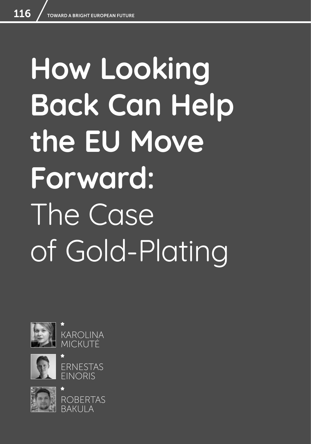# **How Looking Back Can Help the EU Move Forward:**  The Case of Gold-Plating











ROBERTAS BAKULA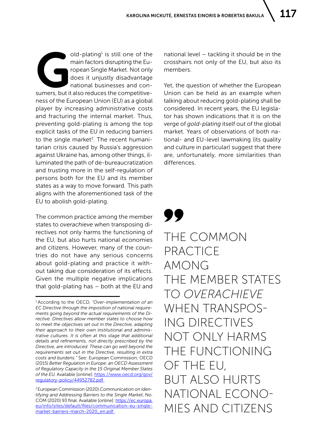Y.

old-plating<sup>1</sup> is still one of the<br>main factors disrupting the Eu-<br>ropean Single Market. Not only<br>does it unjustly disadvantage<br>national businesses and con-<br>sumers, but it also reduces the competitiveold-plating<sup>1</sup> is still one of the main factors disrupting the European Single Market. Not only does it unjustly disadvantage national businesses and conness of the European Union (EU) as a global player by increasing administrative costs and fracturing the internal market. Thus, preventing gold-plating is among the top explicit tasks of the EU in reducing barriers to the single market<sup>2</sup>. The recent humanitarian crisis caused by Russia's aggression against Ukraine has, among other things, illuminated the path of de-bureaucratization and trusting more in the self-regulation of persons both for the EU and its member states as a way to move forward. This path aligns with the aforementioned task of the EU to abolish gold-plating.

The common practice among the member states to *overachieve* when transposing directives not only harms the functioning of the EU, but also hurts national economies and citizens. However, many of the countries do not have any serious concerns about gold-plating and practice it without taking due consideration of its effects. Given the multiple negative implications that gold-plating has – both at the EU and national level – tackling it should be in the crosshairs not only of the EU, but also its members.

Yet, the question of whether the European Union can be held as an example when talking about reducing gold-plating shall be considered. In recent years, the EU legislator has shown indications that it is on the verge of *gold-plating* itself out of the global market. Years of observations of both national- and EU-level lawmaking (its quality and culture in particular) suggest that there are, unfortunately, more similarities than differences.

# THE COMMON PRACTICE AMONG THE MEMBER STATES TO *OVERACHIEVE* WHEN TRANSPOS-ING DIRECTIVES NOT ONLY HARMS THE FUNCTIONING OF THE EU, BUT ALSO HURTS NATIONAL ECONO-MIES AND CITIZENS

<sup>1</sup> According to the OECD, *"Over-implementation of an EC Directive through the imposition of national requirements going beyond the actual requirements of the Directive. Directives allow member states to choose how to meet the objectives set out in the Directive, adapting their approach to their own institutional and administrative cultures. It is often at this stage that additional details and refinements, not directly prescribed by the Directive, are introduced. These can go well beyond the requirements set out in the Directive, resulting in extra costs and burdens."* See: European Commission, OECD (2015) *Better Regulation in Europe: an OECD Assessment of Regulatory Capacity in the 15 Original Member States of the EU.* Available [online]: [https://www.oecd.org/gov/](https://www.oecd.org/gov/regulatory-policy/44952782.pdf ) [regulatory-policy/44952782.pdf](https://www.oecd.org/gov/regulatory-policy/44952782.pdf ) 

<sup>2</sup> European Commission (2020) *Communication on Identifying and Addressing Barriers to the Single Market*, No. COM (2020) 93 final. Available [online]: [https://ec.europa.](https://ec.europa.eu/info/sites/default/files/communication-eu-single-market-barriers-march-2020_en.pdf ) [eu/info/sites/default/files/communication-eu-single](https://ec.europa.eu/info/sites/default/files/communication-eu-single-market-barriers-march-2020_en.pdf )[market-barriers-march-2020\\_en.pdf](https://ec.europa.eu/info/sites/default/files/communication-eu-single-market-barriers-march-2020_en.pdf )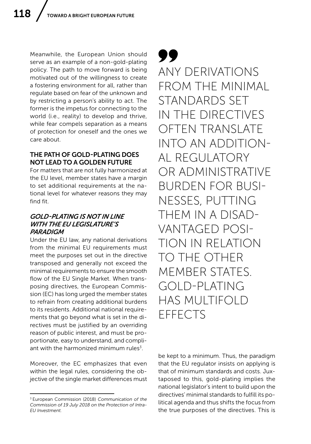Meanwhile, the European Union should serve as an example of a non-gold-plating policy. The path to move forward is being motivated out of the willingness to create a fostering environment for all, rather than regulate based on fear of the unknown and by restricting a person's ability to act. The former is the impetus for connecting to the world (i.e., reality) to develop and thrive, while fear compels separation as a means of protection for oneself and the ones we care about.

#### THE PATH OF GOLD-PLATING DOES NOT LEAD TO A GOLDEN FUTURE

For matters that are not fully harmonized at the EU level, member states have a margin to set additional requirements at the national level for whatever reasons they may find fit.

#### *GOLD-PLATING IS NOT IN LINE WITH THE EU LEGISLATURE'S PARADIGM*

Under the EU law, any national derivations from the minimal EU requirements must meet the purposes set out in the directive transposed and generally not exceed the minimal requirements to ensure the smooth flow of the EU Single Market. When transposing directives, the European Commission (EC) has long urged the member states to refrain from creating additional burdens to its residents. Additional national requirements that go beyond what is set in the directives must be justified by an overriding reason of public interest, and must be proportionate, easy to understand, and compliant with the harmonized minimum rules $3$ .

Moreover, the EC emphasizes that even within the legal rules, considering the objective of the single market differences must 99 ANY DERIVATIONS FROM THE MINIMAL STANDARDS SET IN THE DIRECTIVES OFTEN TRANSLATE INTO AN ADDITION-AL REGULATORY OR ADMINISTRATIVE BURDEN FOR BUSI-NESSES, PUTTING THEM IN A DISAD-VANTAGED POSI-TION IN RELATION TO THE OTHER MEMBER STATES. GOLD-PLATING HAS MULTIFOLD EFFECTS

be kept to a minimum. Thus, the paradigm that the EU regulator insists on applying is that of minimum standards and costs. Juxtaposed to this, gold-plating implies the national legislator's intent to build upon the directives' minimal standards to fulfill its political agenda and thus shifts the focus from the true purposes of the directives. This is

<sup>3</sup> European Commission (2018) *Communication of the Commission of 19 July 2018 on the Protection of Intra-EU Investment.*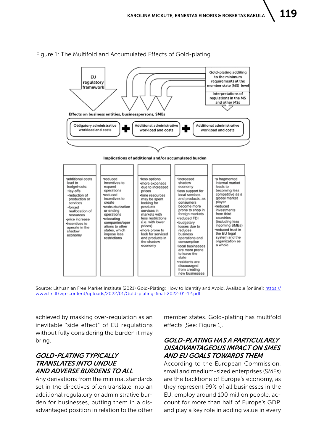Gold-plating additing EU to the minimum requirements at the regulatory nember state (MS) leve framework nterpretations of regulations in the MS and other MSs Effects on business entities, businesspersons, SMEs Obligatory administrative **Additional administrative Additional administrative** workload and costs workload and costs workload and costs Implications of additional and/or accumulated burden additional costs ·less options a fragmented ·reduced ·increased lead to incentives to shadow internal market ·more expenses budget-cuts  $expand$ eads to due to increased economy operations ·lay-offs becoming less<br>competitive as a prices less support for •reduction of reduced local services time resources global market and products, as production or incentives to may be spent<br>looking for create consumers player services products reduced •forced ·restructurization become more prone to shop in investments services in reallocation of or ending operations markets with foreign markets from third resources countries •reduced FDI relocating less restrictions ·price increase (i.e. with lower (including less companies/oper ·budgetary incentives to incoming SMEs) prices) losses due to operate in the<br>shadow ations to other reduced trust in more prone to<br>look for serviced states which reduces the EU legal impose less business economy operations and system and the restrictions and products in organization as the shadow consumption economy a whole ·local businesses are more prone to leave the state residents are discouraged from creating new businesses

#### Figure 1: The Multifold and Accumulated Effects of Gold-plating

Source: Lithuanian Free Market Institute (2021) Gold-Plating: How to Identify and Avoid. Available [online]: [https://](https://www.llri.lt/wp-content/uploads/2022/01/Gold-plating-final-2022-01-12.pdf) [www.llri.lt/wp-content/uploads/2022/01/Gold-plating-final-2022-01-12.pdf](https://www.llri.lt/wp-content/uploads/2022/01/Gold-plating-final-2022-01-12.pdf)

achieved by masking over-regulation as an inevitable "side effect" of EU regulations without fully considering the burden it may bring.

## *GOLD-PLATING TYPICALLY TRANSLATES INTO UNDUE AND ADVERSE BURDENS TO ALL*

Any derivations from the minimal standards set in the directives often translate into an additional regulatory or administrative burden for businesses, putting them in a disadvantaged position in relation to the other member states. Gold-plating has multifold effects [See: Figure 1].

#### *GOLD-PLATING HAS A PARTICULARLY DISADVANTAGEOUS IMPACT ON SMES AND EU GOALS TOWARDS THEM*

According to the European Commission, small and medium-sized enterprises (SMEs) are the backbone of Europe's economy, as they represent 99% of all businesses in the EU, employ around 100 million people, account for more than half of Europe's GDP, and play a key role in adding value in every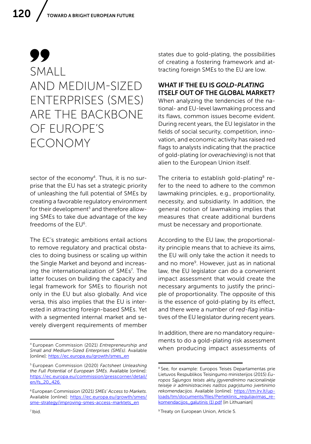# 99 SMALL AND MEDIUM-SIZED ENTERPRISES (SMES) ARE THE BACKBONE OF EUROPE'S ECONOMY

sector of the economy<sup>4</sup>. Thus, it is no surprise that the EU has set a strategic priority of unleashing the full potential of SMEs by creating a favorable regulatory environment for their development<sup>5</sup> and therefore allowing SMEs to take due advantage of the key freedoms of the EU6.

The EC's strategic ambitions entail actions to remove regulatory and practical obstacles to doing business or scaling up within the Single Market and beyond and increasing the internationalization of SMEs<sup>7</sup>. The latter focuses on building the capacity and legal framework for SMEs to flourish not only in the EU but also globally. And vice versa, this also implies that the EU is interested in attracting foreign-based SMEs. Yet with a segmented internal market and severely divergent requirements of member

states due to gold-plating, the possibilities of creating a fostering framework and attracting foreign SMEs to the EU are low.

## WHAT IF THE EU IS *GOLD-PLATING* ITSELF OUT OF THE GLOBAL MARKET?

When analyzing the tendencies of the national- and EU-level lawmaking process and its flaws, common issues become evident. During recent years, the EU legislator in the fields of social security, competition, innovation, and economic activity has raised red flags to analysts indicating that the practice of gold-plating (or *overachieving*) is not that alien to the European Union itself.

The criteria to establish gold-plating<sup>8</sup> refer to the need to adhere to the common lawmaking principles, e.g., proportionality, necessity, and subsidiarity. In addition, the general notion of lawmaking implies that measures that create additional burdens must be necessary and proportionate.

According to the EU law, the proportionality principle means that to achieve its aims, the EU will only take the action it needs to and no more<sup>9</sup>. However, just as in national law, the EU legislator can do a convenient impact assessment that would create the necessary arguments to justify the principle of proportionality. The opposite of this is the essence of gold-plating by its effect, and there were a number of *red-flag* initiatives of the EU legislator during recent years.

In addition, there are no mandatory requirements to do a gold-plating risk assessment when producing impact assessments of

<sup>4</sup> European Commission (2021) *Entrepreneurship and Small and Medium-Sized Enterprises (SMEs)*. Available [online]: [https://ec.europa.eu/growth/smes\\_en](https://ec.europa.eu/growth/smes_en)

<sup>5</sup> European Commission (2020) *Factsheet Unleashing the Full Potential of European SMEs.* Available [online]: [https://ec.europa.eu/commission/presscorner/detail/](https://ec.europa.eu/commission/presscorner/detail/en/fs_20_426 ) [en/fs\\_20\\_426](https://ec.europa.eu/commission/presscorner/detail/en/fs_20_426 ) 

<sup>6</sup> European Commission (2021) *SMEs' Access to Markets*. Available [online]: [https://ec.europa.eu/growth/smes/](https://ec.europa.eu/growth/smes/sme-strategy/improving-smes-access-marktets_en) [sme-strategy/improving-smes-access-marktets\\_en](https://ec.europa.eu/growth/smes/sme-strategy/improving-smes-access-marktets_en)

<sup>&</sup>lt;sup>8</sup> See, for example: Europos Teisės Departamentas prie Lietuvos Respublikos Teisingumo ministerijos (2015) *Europos Sąjungos teisės aktų įgyvendinimo nacionalinėje teisėje ir administracinės naštos pagrįstumo įvertinimo rekomendacijos*. Available [online]: [https://tm.lrv.lt/up](https://tm.lrv.lt/uploads/tm/documents/files/Perteklinis%20reguliavimas_rekomendacijos_galutinis%20(1).pdf)[loads/tm/documents/files/Perteklinis\\_reguliavimas\\_re](https://tm.lrv.lt/uploads/tm/documents/files/Perteklinis%20reguliavimas_rekomendacijos_galutinis%20(1).pdf)[komendacijos\\_galutinis \(1\).pdf](https://tm.lrv.lt/uploads/tm/documents/files/Perteklinis%20reguliavimas_rekomendacijos_galutinis%20(1).pdf) [in Lithuanian]

<sup>&</sup>lt;sup>9</sup> Treaty on European Union, Article 5.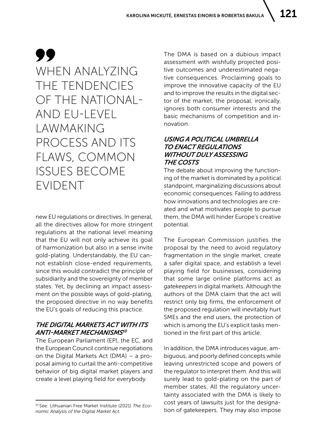99 WHEN ANALYZING THE TENDENCIES OF THE NATIONAL-AND EU-LEVEL LAWMAKING PROCESS AND ITS FLAWS, COMMON ISSUES BECOME EVIDENT

new EU regulations or directives. In general, all the directives allow for more stringent regulations at the national level meaning that the EU will not only achieve its goal of harmonization but also in a sense invite gold-plating. Understandably, the EU cannot establish close-ended requirements, since this would contradict the principle of subsidiarity and the sovereignty of member states. Yet, by declining an impact assessment on the possible ways of gold-plating, the proposed directive in no way benefits the EU's goals of reducing this practice.

# *THE DIGITAL MARKETS ACT WITH ITS ANTI-MARKET MECHANISMS<sup>10</sup>*

The European Parliament (EP), the EC, and the European Council continue negotiations on the Digital Markets Act (DMA) – a proposal aiming to curtail the anti-competitive behavior of big digital market players and create a level playing field for everybody.

The DMA is based on a dubious impact assessment with wishfully projected positive outcomes and underestimated negative consequences. Proclaiming goals to improve the innovative capacity of the EU and to improve the results in the digital sector of the market, the proposal, ironically, ignores both consumer interests and the basic mechanisms of competition and innovation.

# *USING A POLITICAL UMBRELLA TO ENACT REGULATIONS WITHOUT DULY ASSESSING THE COSTS*

The debate about improving the functioning of the market is dominated by a political standpoint, marginalizing discussions about economic consequences. Failing to address how innovations and technologies are created and what motivates people to pursue them, the DMA will hinder Europe's creative potential.

The European Commission justifies the proposal by the need to avoid regulatory fragmentation in the single market, create a safer digital space, and establish a level playing field for businesses, considering that some large online platforms act as *gatekeepers* in digital markets. Although the authors of the DMA claim that the act will restrict only big firms, the enforcement of the proposed regulation will inevitably hurt SMEs and the end users, the protection of which is among the EU's explicit tasks mentioned in the first part of this article.

In addition, the DMA introduces vague, ambiguous, and poorly defined concepts while leaving unrestricted scope and powers of the regulator to interpret them. And this will surely lead to gold-plating on the part of member states. All the regulatory uncertainty associated with the DMA is likely to cost years of lawsuits just for the designation of gatekeepers. They may also impose

<sup>10</sup> See: Lithuanian Free Market Institute (2021) *The Economic Analysis of the Digital Market Act.*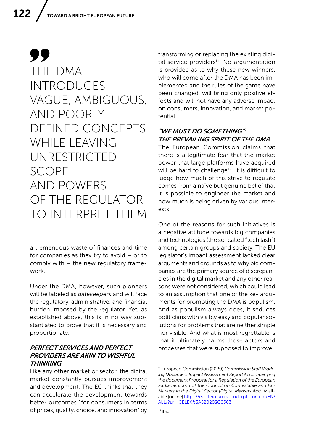# 99 THE DMA INTRODUCES VAGUE, AMBIGUOUS, AND POORLY DEFINED CONCEPTS WHII F I FAVING UNRESTRICTED SCOPE AND POWERS OF THE REGULATOR TO INTERPRET THEM

a tremendous waste of finances and time for companies as they try to avoid – or to comply with – the new regulatory framework.

Under the DMA, however, such pioneers will be labeled as *gatekeepers* and will face the regulatory, administrative, and financial burden imposed by the regulator. Yet, as established above, this is in no way substantiated to prove that it is necessary and proportionate.

#### *PERFECT SERVICES AND PERFECT PROVIDERS ARE AKIN TO WISHFUL THINKING*

Like any other market or sector, the digital market constantly pursues improvement and development. The EC thinks that they can accelerate the development towards better outcomes "for consumers in terms of prices, quality, choice, and innovation" by transforming or replacing the existing digital service providers<sup>11</sup>. No argumentation is provided as to why these new winners, who will come after the DMA has been implemented and the rules of the game have been changed, will bring only positive effects and will not have any adverse impact on consumers, innovation, and market potential.

# *"WE MUST DO SOMETHING": THE PREVAILING SPIRIT OF THE DMA*

The European Commission claims that there is a legitimate fear that the market power that large platforms have acquired will be hard to challenge<sup>12</sup>. It is difficult to judge how much of this strive to regulate comes from a naïve but genuine belief that it is possible to engineer the market and how much is being driven by various interests.

One of the reasons for such initiatives is a negative attitude towards big companies and technologies (the so-called "tech lash") among certain groups and society. The EU legislator's impact assessment lacked clear arguments and grounds as to why big companies are the primary source of discrepancies in the digital market and any other reasons were not considered, which could lead to an assumption that one of the key arguments for promoting the DMA is populism. And as populism always does, it seduces politicians with visibly easy and popular solutions for problems that are neither simple nor visible. And what is most regrettable is that it ultimately harms those actors and processes that were supposed to improve.

<sup>11</sup> European Commission (2020) *Commission Staff Working Document Impact Assessment Report Accompanying the document Proposal for a Regulation of the European Parliament and of the Council on Contestable and Fair Markets in the Digital Sector (Digital Markets Act)*. Available [online] [https://eur-lex.europa.eu/legal-content/EN/](https://eur-lex.europa.eu/legal-content/EN/ALL/?uri=CELEX%3A52020SC0363) [ALL/?uri=CELEX%3A52020SC0363](https://eur-lex.europa.eu/legal-content/EN/ALL/?uri=CELEX%3A52020SC0363)

 $12$  Ibid.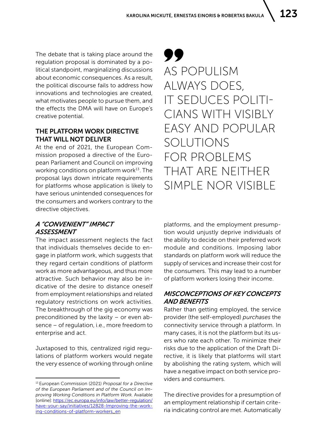The debate that is taking place around the regulation proposal is dominated by a political standpoint, marginalizing discussions about economic consequences. As a result, the political discourse fails to address how innovations and technologies are created, what motivates people to pursue them, and the effects the DMA will have on Europe's creative potential.

#### THE PLATFORM WORK DIRECTIVE THAT WILL NOT DELIVER

At the end of 2021, the European Commission proposed a directive of the European Parliament and Council on improving working conditions on platform work<sup>13</sup>. The proposal lays down intricate requirements for platforms whose application is likely to have serious unintended consequences for the consumers and workers contrary to the directive objectives.

# 99 AS POPULISM ALWAYS DOES, IT SEDUCES POLITI-CIANS WITH VISIBLY EASY AND POPULAR SOLUTIONS FOR PROBLEMS THAT ARE NEITHER SIMPLE NOR VISIBLE

# *A "CONVENIENT" IMPACT ASSESSMENT*

The impact assessment neglects the fact that individuals themselves decide to engage in platform work, which suggests that they regard certain conditions of platform work as more advantageous, and thus more attractive. Such behavior may also be indicative of the desire to distance oneself from employment relationships and related regulatory restrictions on work activities. The breakthrough of the gig economy was preconditioned by the laxity – or even absence – of regulation, i.e., more freedom to enterprise and act.

Juxtaposed to this, centralized rigid regulations of platform workers would negate the very essence of working through online platforms, and the employment presumption would unjustly deprive individuals of the ability to decide on their preferred work module and conditions. Imposing labor standards on platform work will reduce the supply of services and increase their cost for the consumers. This may lead to a number of platform workers losing their income.

#### *MISCONCEPTIONS OF KEY CONCEPTS AND BENEFITS*

Rather than getting employed, the service provider (the self-employed) *purchases* the connectivity service through a platform. In many cases, it is not the platform but its users who rate each other. To minimize their risks due to the application of the Draft Directive, it is likely that platforms will start by abolishing the rating system, which will have a negative impact on both service providers and consumers.

The directive provides for a presumption of an employment relationship if certain criteria indicating control are met. Automatically

<sup>13</sup> European Commission (2021) *Proposal for a Directive of the European Parliament and of the Council on Improving Working Conditions in Platform Work.* Available [online]: [https://ec.europa.eu/info/law/better-regulation/](https://ec.europa.eu/info/law/better-regulation/have-your-say/initiatives/12828-Improving-the-working-conditions-of-platform-workers_en) [have-your-say/initiatives/12828-Improving-the-work](https://ec.europa.eu/info/law/better-regulation/have-your-say/initiatives/12828-Improving-the-working-conditions-of-platform-workers_en)[ing-conditions-of-platform-workers\\_en](https://ec.europa.eu/info/law/better-regulation/have-your-say/initiatives/12828-Improving-the-working-conditions-of-platform-workers_en)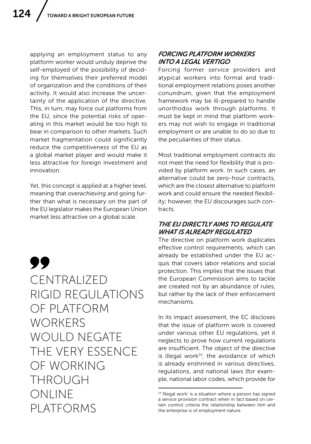applying an employment status to any platform worker would unduly deprive the self-employed of the possibility of deciding for themselves their preferred model of organization and the conditions of their activity. It would also increase the uncertainty of the application of the directive. This, in turn, may force out platforms from the EU, since the potential risks of operating in this market would be too high to bear in comparison to other markets. Such market fragmentation could significantly reduce the competitiveness of the EU as a global market player and would make it less attractive for foreign investment and innovation.

Yet, this concept is applied at a higher level, meaning that *overachieving* and going further than what is necessary on the part of the EU legislator makes the European Union market less attractive on a global scale.

99 CENTRALIZED RIGID REGULATIONS OF PLATFORM **WORKERS** WOULD NEGATE THE VERY ESSENCE OF WORKING THROUGH ONLINE PLATFORMS

# *FORCING PLATFORM WORKERS INTO A LEGAL VERTIGO*

Forcing former service providers and atypical workers into formal and traditional employment relations poses another conundrum, given that the employment framework may be ill-prepared to handle unorthodox work through platforms. It must be kept in mind that platform workers may not wish to engage in traditional employment or are unable to do so due to the peculiarities of their status.

Most traditional employment contracts do not meet the need for flexibility that is provided by platform work. In such cases, an alternative could be zero-hour contracts, which are the closest alternative to platform work and could ensure the needed flexibility; however, the EU discourages such contracts.

## *THE EU DIRECTLY AIMS TO REGULATE WHAT IS ALREADY REGULATED*

The directive on platform work duplicates effective control requirements, which can already be established under the EU acquis that covers labor relations and social protection. This implies that the issues that the European Commission aims to tackle are created not by an abundance of rules, but rather by the lack of their enforcement mechanisms.

In its impact assessment, the EC discloses that the issue of platform work is covered under various other EU regulations, yet it neglects to prove how current regulations are insufficient. The object of the directive is illegal work $14$ , the avoidance of which is already enshrined in various directives, regulations, and national laws (for example, national labor codes, which provide for

<sup>&</sup>lt;sup>14</sup> 'Illegal work' is a situation where a person has signed a service provision contract when in fact based on certain control criteria the relationship between him and the enterprise is of employment nature.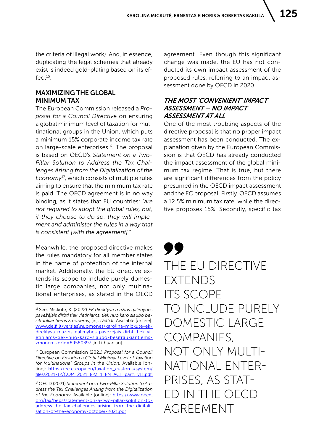the criteria of illegal work). And, in essence, duplicating the legal schemes that already exist is indeed gold-plating based on its ef $fect<sup>15</sup>$ .

## MAXIMIZING THE GLOBAL MINIMUM TAX

The European Commission released a *Proposal for a Council Directive* on ensuring a global minimum level of taxation for multinational groups in the Union, which puts a minimum 15% corporate income tax rate on large-scale enterprises<sup>16</sup>. The proposal is based on OECD's *Statement on a Two-Pillar Solution to Address the Tax Challenges Arising from the Digitalization of the Economy*17, which consists of multiple rules aiming to ensure that the minimum tax rate is paid. The OECD agreement is in no way binding, as it states that EU countries: *"are not required to adopt the global rules, but, if they choose to do so, they will implement and administer the rules in a way that is consistent [with the agreement]."* 

Meanwhile, the proposed directive makes the rules mandatory for all member states in the name of protection of the internal market. Additionally, the EU directive extends its scope to include purely domestic large companies, not only multinational enterprises, as stated in the OECD agreement. Even though this significant change was made, the EU has not conducted its own impact assessment of the proposed rules, referring to an impact assessment done by OECD in 2020.

#### *THE MOST 'CONVENIENT' IMPACT ASSESSMENT – NO IMPACT ASSESSMENT AT ALL*

One of the most troubling aspects of the directive proposal is that no proper impact assessment has been conducted. The explanation given by the European Commission is that OECD has already conducted the impact assessment of the global minimum tax regime. That is true, but there are significant differences from the policy presumed in the OECD impact assessment and the EC proposal. Firstly, OECD assumes a 12.5% minimum tax rate, while the directive proposes 15%. Secondly, specific tax

TT THE EU DIRECTIVE EXTENDS ITS SCOPE TO INCLUDE PURELY DOMESTIC LARGE COMPANIES, NOT ONLY MULTI-NATIONAL ENTER-PRISES, AS STAT-ED IN THE OECD AGREEMENT

<sup>15</sup> See: Mickute, K. (2022) *EK direktyva mažins galimybes pavežėjais dirbti tiek vietiniams, tiek nuo karo siaubo besitraukiantiems žmonėms*, [in]: *Delfi.lt.* Available [online]: [www.delfi.lt\verslas\nuomones\karolina-mickute-ek](http://www.delfi.lt\verslas\nuomones\karolina-mickute-ek-direktyva-mazins-galimybes-pavezejais-dirbti-tiek-vietiniams-tiek-nuo-karo-siaubo-besitraukiantiems-zmonems.d?id=89580397)[direktyva-mazins-galimybes-pavezejais-dirbti-tiek-vi](http://www.delfi.lt\verslas\nuomones\karolina-mickute-ek-direktyva-mazins-galimybes-pavezejais-dirbti-tiek-vietiniams-tiek-nuo-karo-siaubo-besitraukiantiems-zmonems.d?id=89580397)[etiniams-tiek-nuo-karo-siaubo-besitraukiantiems](http://www.delfi.lt\verslas\nuomones\karolina-mickute-ek-direktyva-mazins-galimybes-pavezejais-dirbti-tiek-vietiniams-tiek-nuo-karo-siaubo-besitraukiantiems-zmonems.d?id=89580397)[zmonems.d?id=89580397](http://www.delfi.lt\verslas\nuomones\karolina-mickute-ek-direktyva-mazins-galimybes-pavezejais-dirbti-tiek-vietiniams-tiek-nuo-karo-siaubo-besitraukiantiems-zmonems.d?id=89580397) [in Lithuanian]

<sup>16</sup> European Commission (2021) *Proposal for a Council Directive on Ensuring a Global Minimal Level of Taxation for Multinational Groups in the Union.* Available [online]: [https://ec.europa.eu/taxation\\_customs/system/](https://ec.europa.eu/taxation_customs/system/files/2021-12/COM_2021_823_1_EN_ACT_part1_v11.pdf.) [files/2021-12/COM\\_2021\\_823\\_1\\_EN\\_ACT\\_part1\\_v11.pdf.](https://ec.europa.eu/taxation_customs/system/files/2021-12/COM_2021_823_1_EN_ACT_part1_v11.pdf.)

<sup>17</sup> OECD (2021) *Statement on a Two-Pillar Solution to Address the Tax Challenges Arising from the Digitalization of the Economy.* Available [online]: [https://www.oecd.](https://www.oecd.org/tax/beps/statement-on-a-two-pillar-solution-to-address-the-tax-challenges-arising-from-the-digitalisation-of-the-economy-october-2021.pdf) [org/tax/beps/statement-on-a-two-pillar-solution-to](https://www.oecd.org/tax/beps/statement-on-a-two-pillar-solution-to-address-the-tax-challenges-arising-from-the-digitalisation-of-the-economy-october-2021.pdf)[address-the-tax-challenges-arising-from-the-digitali](https://www.oecd.org/tax/beps/statement-on-a-two-pillar-solution-to-address-the-tax-challenges-arising-from-the-digitalisation-of-the-economy-october-2021.pdf)[sation-of-the-economy-october-2021.pdf](https://www.oecd.org/tax/beps/statement-on-a-two-pillar-solution-to-address-the-tax-challenges-arising-from-the-digitalisation-of-the-economy-october-2021.pdf)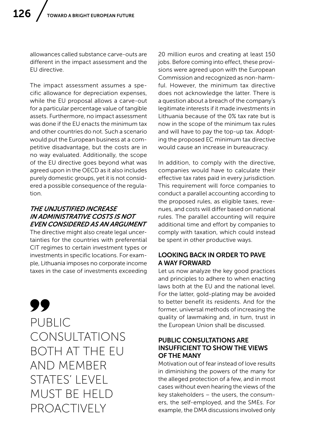allowances called substance carve-outs are different in the impact assessment and the EU directive.

The impact assessment assumes a specific allowance for depreciation expenses, while the EU proposal allows a carve-out for a particular percentage value of tangible assets. Furthermore, no impact assessment was done if the EU enacts the minimum tax and other countries do not. Such a scenario would put the European business at a competitive disadvantage, but the costs are in no way evaluated. Additionally, the scope of the EU directive goes beyond what was agreed upon in the OECD as it also includes purely domestic groups, yet it is not considered a possible consequence of the regulation.

### *THE UNJUSTIFIED INCREASE IN ADMINISTRATIVE COSTS IS NOT EVEN CONSIDERED AS AN ARGUMENT*

The directive might also create legal uncertainties for the countries with preferential CIT regimes to certain investment types or investments in specific locations. For example, Lithuania imposes no corporate income taxes in the case of investments exceeding

99 PUBLIC CONSULTATIONS BOTH AT THE EU AND MEMBER STATES' I FVEL MUST BE HELD **PROACTIVELY** 

20 million euros and creating at least 150 jobs. Before coming into effect, these provisions were agreed upon with the European Commission and recognized as non-harmful. However, the minimum tax directive does not acknowledge the latter. There is a question about a breach of the company's legitimate interests if it made investments in Lithuania because of the 0% tax rate but is now in the scope of the minimum tax rules and will have to pay the top-up tax. Adopting the proposed EC minimum tax directive would cause an increase in bureaucracy.

In addition, to comply with the directive, companies would have to calculate their effective tax rates paid in every jurisdiction. This requirement will force companies to conduct a parallel accounting according to the proposed rules, as eligible taxes, revenues, and costs will differ based on national rules. The parallel accounting will require additional time and effort by companies to comply with taxation, which could instead be spent in other productive ways.

## LOOKING BACK IN ORDER TO PAVE A WAY FORWARD

Let us now analyze the key good practices and principles to adhere to when enacting laws both at the EU and the national level. For the latter, gold-plating may be avoided to better benefit its residents. And for the former, universal methods of increasing the quality of lawmaking and, in turn, trust in the European Union shall be discussed.

#### PUBLIC CONSULTATIONS ARE INSUFFICIENT TO SHOW THE VIEWS OF THE MANY

Motivation out of fear instead of love results in diminishing the powers of the many for the alleged protection of a few, and in most cases without even hearing the views of the key stakeholders – the users, the consumers, the self-employed, and the SMEs. For example, the DMA discussions involved only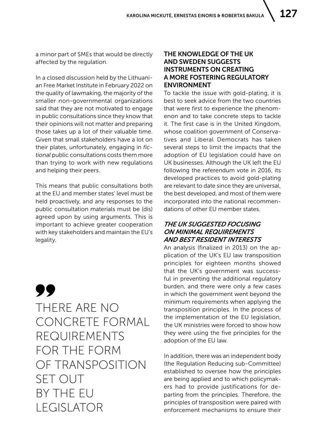a minor part of SMEs that would be directly affected by the regulation.

In a closed discussion held by the Lithuanian Free Market Institute in February 2022 on the quality of lawmaking, the majority of the smaller non-governmental organizations said that they are not motivated to engage in public consultations since they know that their opinions will not matter and preparing those takes up a lot of their valuable time. Given that small stakeholders have a lot on their plates, unfortunately, engaging in *fictional* public consultations costs them more than trying to work with new regulations and helping their peers.

This means that public consultations both at the EU and member states' level must be held proactively, and any responses to the public consultation materials must be (dis) agreed upon by using arguments. This is important to achieve greater cooperation with key stakeholders and maintain the EU's legality.

99 THERE ARE NO CONCRETE FORMAL REQUIREMENTS FOR THE FORM OF TRANSPOSITION SET OUT BY THE EU LEGISLATOR

#### THE KNOWLEDGE OF THE UK AND SWEDEN SUGGESTS INSTRUMENTS ON CREATING A MORE FOSTERING REGULATORY ENVIRONMENT

To tackle the issue with gold-plating, it is best to seek advice from the two countries that were first to experience the phenomenon and to take concrete steps to tackle it. The first case is in the United Kingdom, whose coalition government of Conservatives and Liberal Democrats has taken several steps to limit the impacts that the adoption of EU legislation could have on UK businesses. Although the UK left the EU following the referendum vote in 2016, its developed practices to avoid gold-plating are relevant to date since they are universal, the best developed, and most of them were incorporated into the national recommendations of other EU member states.

#### *THE UK SUGGESTED FOCUSING ON MINIMAL REQUIREMENTS AND BEST RESIDENT INTERESTS*

An analysis (finalized in 2013) on the application of the UK's EU law transposition principles for eighteen months showed that the UK's government was successful in preventing the additional regulatory burden, and there were only a few cases in which the government went beyond the minimum requirements when applying the transposition principles. In the process of the implementation of the EU legislation, the UK ministries were forced to show how they were using the five principles for the adoption of the EU law.

In addition, there was an independent body (the Regulation Reducing sub-Committee) established to oversee how the principles are being applied and to which policymakers had to provide justifications for departing from the principles. Therefore, the principles of transposition were paired with enforcement mechanisms to ensure their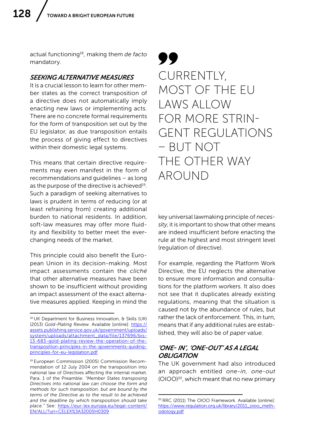actual functioning18, making them *de facto*  mandatory.

#### *SEEKING ALTERNATIVE MEASURES*

It is a crucial lesson to learn for other member states as the correct transposition of a directive does not automatically imply enacting new laws or implementing acts. There are no concrete formal requirements for the form of transposition set out by the EU legislator, as due transposition entails the process of giving effect to directives within their domestic legal systems.

This means that certain directive requirements may even manifest in the form of recommendations and guidelines – as long as the purpose of the directive is achieved<sup>19</sup>. Such a paradigm of seeking alternatives to laws is prudent in terms of reducing (or at least refraining from) creating additional burden to national residents. In addition, soft-law measures may offer more fluidity and flexibility to better meet the everchanging needs of the market.

This principle could also benefit the European Union in its decision-making. Most impact assessments contain the *cliché* that other alternative measures have been shown to be insufficient without providing an impact assessment of the exact alternative measures applied. Keeping in mind the

99 CURRENTLY, MOST OF THE EU LAWS ALLOW FOR MORE STRIN-GENT REGULATIONS – BUT NOT THE OTHER WAY AROUND

key universal lawmaking principle of *necessity*, it is important to show that other means are indeed insufficient before enacting the rule at the highest and most stringent level (regulation of directive).

For example, regarding the Platform Work Directive, the EU neglects the alternative to ensure more information and consultations for the platform workers. It also does not see that it duplicates already existing regulations, meaning that the situation is caused not by the abundance of rules, but rather the lack of enforcement. This, in turn, means that if any additional rules are established, they will also be of *paper value.*

#### *'ONE- IN', 'ONE-OUT' AS A LEGAL OBI IGATION*

The UK government had also introduced an approach entitled *one-in, one-out*  (OIOO)20, which meant that no new primary

<sup>18</sup> UK Department for Business Innovation, & Skills (UK) (2013) *Gold-Plating Review*. Available [online]: [https://](https://assets.publishing.service.gov.uk/government/uploads/system/uploads/attachment_data/file/137696/bis-13-683-gold-plating-review-the-operation-of-the-transposition-principles-in-the-governments-guiding-principles-for-eu-legislation.pdf) [assets.publishing.service.gov.uk/government/uploads/](https://assets.publishing.service.gov.uk/government/uploads/system/uploads/attachment_data/file/137696/bis-13-683-gold-plating-review-the-operation-of-the-transposition-principles-in-the-governments-guiding-principles-for-eu-legislation.pdf) [system/uploads/attachment\\_data/file/137696/bis-](https://assets.publishing.service.gov.uk/government/uploads/system/uploads/attachment_data/file/137696/bis-13-683-gold-plating-review-the-operation-of-the-transposition-principles-in-the-governments-guiding-principles-for-eu-legislation.pdf)[13-683-gold-plating-review-the-operation-of-the](https://assets.publishing.service.gov.uk/government/uploads/system/uploads/attachment_data/file/137696/bis-13-683-gold-plating-review-the-operation-of-the-transposition-principles-in-the-governments-guiding-principles-for-eu-legislation.pdf)[transposition-principles-in-the-governments-guiding](https://assets.publishing.service.gov.uk/government/uploads/system/uploads/attachment_data/file/137696/bis-13-683-gold-plating-review-the-operation-of-the-transposition-principles-in-the-governments-guiding-principles-for-eu-legislation.pdf)[principles-for-eu-legislation.pdf](https://assets.publishing.service.gov.uk/government/uploads/system/uploads/attachment_data/file/137696/bis-13-683-gold-plating-review-the-operation-of-the-transposition-principles-in-the-governments-guiding-principles-for-eu-legislation.pdf) 

<sup>19</sup> European Commission (2005) Commission Recommendation of 12 July 2004 on the transposition into national law of Directives affecting the internal market. Para. 1 of the Preamble: *"Member States transposing Directives into national law can choose the form and methods for such transposition, but are bound by the terms of the Directive as to the result to be achieved and the deadline by which transposition should take place."* See: [https://eur-lex.europa.eu/legal-content/](https://eur-lex.europa.eu/legal-content/EN/ALL/?uri=CELEX%3A32005H0309) [EN/ALL/?uri=CELEX%3A32005H0309](https://eur-lex.europa.eu/legal-content/EN/ALL/?uri=CELEX%3A32005H0309) 

<sup>20</sup> RRC (2011) The OIOO Framework. Available [online]: [https://www.regulation.org.uk/library/2011\\_oioo\\_meth](https://www.regulation.org.uk/library/2011_oioo_methodology.pdf)[odology.pdf](https://www.regulation.org.uk/library/2011_oioo_methodology.pdf)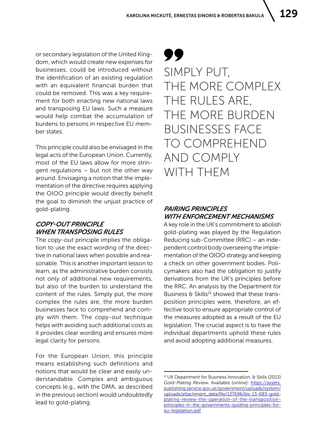or secondary legislation of the United Kingdom, which would create new expenses for businesses, could be introduced without the identification of an existing regulation with an equivalent financial burden that could be removed. This was a key requirement for both enacting new national laws and transposing EU laws. Such a measure would help combat the accumulation of burdens to persons in respective EU member states.

This principle could also be envisaged in the legal acts of the European Union. Currently, most of the EU laws allow for more stringent regulations – but not the other way around. Envisaging a notion that the implementation of the directive requires applying the OIOO principle would directly benefit the goal to diminish the unjust practice of gold-plating.

# *COPY-OUT PRINCIPLE WHEN TRANSPOSING RULES*

The *copy-out* principle implies the obligation to use the exact wording of the directive in national laws when possible and reasonable. This is another important lesson to learn, as the administrative burden consists not only of additional new requirements, but also of the burden to understand the content of the rules. Simply put, the more complex the rules are, the more burden businesses face to comprehend and comply with them. The *copy-out* technique helps with avoiding such additional costs as it provides clear wording and ensures more legal clarity for persons.

For the European Union, this principle means establishing such definitions and notions that would be clear and easily understandable. Complex and ambiguous concepts (e.g., with the DMA, as described in the previous section) would undoubtedly lead to gold-plating.

# 99 SIMPLY PUT, THE MORE COMPLEX THE RULES ARE, THE MORE BURDEN BUSINESSES FACE TO COMPREHEND AND COMPLY WITH THEM

# *PAIRING PRINCIPLES WITH ENFORCEMENT MECHANISMS*

A key role in the UK's commitment to abolish gold-plating was played by the Regulation Reducing sub-Committee (RRC) – an independent control body overseeing the implementation of the OIOO strategy and keeping a check on other government bodies. Policymakers also had the obligation to justify derivations from the UK's principles before the RRC. An analysis by the Department for Business  $\theta$  Skills<sup>21</sup> showed that these transposition principles were, therefore, an effective tool to ensure appropriate control of the measures adopted as a result of the EU legislation. The crucial aspect is to have the individual departments uphold these rules and avoid adopting additional measures.

<sup>21</sup> UK Department for Business Innovation, & Skills (2013) *Gold-Plating Review.* Available [online]: [https://assets.](https://assets.publishing.service.gov.uk/government/uploads/system/uploads/attachment_data/file/137696/bis-13-683-gold-plating-review-the-operation-of-the-transposition-principles-in-the-governments-guiding-principles-for-eu-legislation.pdf) [publishing.service.gov.uk/government/uploads/system/](https://assets.publishing.service.gov.uk/government/uploads/system/uploads/attachment_data/file/137696/bis-13-683-gold-plating-review-the-operation-of-the-transposition-principles-in-the-governments-guiding-principles-for-eu-legislation.pdf) [uploads/attachment\\_data/file/137696/bis-13-683-gold](https://assets.publishing.service.gov.uk/government/uploads/system/uploads/attachment_data/file/137696/bis-13-683-gold-plating-review-the-operation-of-the-transposition-principles-in-the-governments-guiding-principles-for-eu-legislation.pdf)[plating-review-the-operation-of-the-transposition](https://assets.publishing.service.gov.uk/government/uploads/system/uploads/attachment_data/file/137696/bis-13-683-gold-plating-review-the-operation-of-the-transposition-principles-in-the-governments-guiding-principles-for-eu-legislation.pdf)[principles-in-the-governments-guiding-principles-for](https://assets.publishing.service.gov.uk/government/uploads/system/uploads/attachment_data/file/137696/bis-13-683-gold-plating-review-the-operation-of-the-transposition-principles-in-the-governments-guiding-principles-for-eu-legislation.pdf)[eu-legislation.pdf](https://assets.publishing.service.gov.uk/government/uploads/system/uploads/attachment_data/file/137696/bis-13-683-gold-plating-review-the-operation-of-the-transposition-principles-in-the-governments-guiding-principles-for-eu-legislation.pdf)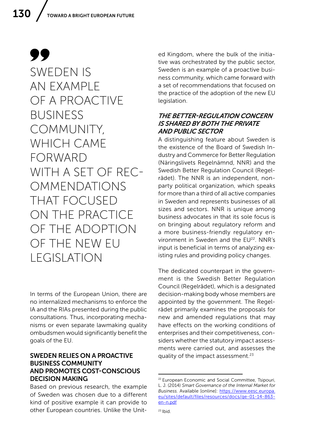99 SWEDEN IS AN EXAMPLE OF A PROACTIVE BUSINESS COMMUNITY, WHICH CAME FORWARD WITH A SET OF REC-OMMENDATIONS THAT FOCUSED ON THE PRACTICE OF THE ADOPTION OF THE NEW EU LEGISLATION

In terms of the European Union, there are no internalized mechanisms to enforce the IA and the RIAs presented during the public consultations. Thus, incorporating mechanisms or even separate lawmaking quality ombudsmen would significantly benefit the goals of the EU.

#### SWEDEN RELIES ON A PROACTIVE BUSINESS COMMUNITY AND PROMOTES COST-CONSCIOUS DECISION MAKING

Based on previous research, the example of Sweden was chosen due to a different kind of positive example it can provide to other European countries. Unlike the United Kingdom, where the bulk of the initiative was orchestrated by the public sector, Sweden is an example of a proactive business community, which came forward with a set of recommendations that focused on the practice of the adoption of the new EU legislation.

#### *THE BETTER-REGULATION CONCERN IS SHARED BY BOTH THE PRIVATE AND PUBLIC SECTOR*

A distinguishing feature about Sweden is the existence of the Board of Swedish Industry and Commerce for Better Regulation (Näringslivets Regelnämnd, NNR) and the Swedish Better Regulation Council (Regelrådet). The NNR is an independent, nonparty political organization, which speaks for more than a third of all active companies in Sweden and represents businesses of all sizes and sectors. NNR is unique among business advocates in that its sole focus is on bringing about regulatory reform and a more business-friendly regulatory environment in Sweden and the EU<sup>22</sup>. NNR's input is beneficial in terms of analyzing existing rules and providing policy changes.

The dedicated counterpart in the government is the Swedish Better Regulation Council (Regelrådet), which is a designated decision-making body whose members are appointed by the government. The Regelrådet primarily examines the proposals for new and amended regulations that may have effects on the working conditions of enterprises and their competitiveness, considers whether the statutory impact assessments were carried out, and assesses the quality of the impact assessment.<sup>23</sup>

<sup>&</sup>lt;sup>22</sup> European Economic and Social Committee, Tsipouri, L. J. (2014) *Smart Governance of the Internal Market for*  Business. Available [online]: [https://www.eesc.europa.](https://www.eesc.europa.eu/sites/default/files/resources/docs/qe-01-14-863-en-n.pdf  ) [eu/sites/default/files/resources/docs/qe-01-14-863](https://www.eesc.europa.eu/sites/default/files/resources/docs/qe-01-14-863-en-n.pdf  ) [en-n.pdf](https://www.eesc.europa.eu/sites/default/files/resources/docs/qe-01-14-863-en-n.pdf  )

 $23$  Ibid.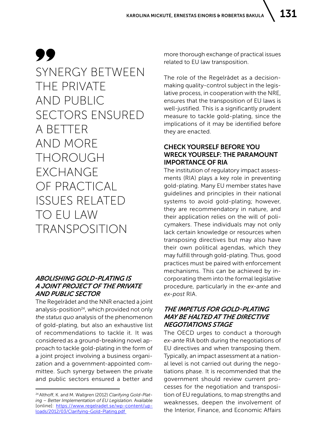99 SYNERGY BETWEEN THE PRIVATE AND PUBLIC SECTORS ENSURED A BETTER AND MORE THOROUGH EXCHANGE OF PRACTICAL ISSUES RELATED TO EU LAW TRANSPOSITION

# *ABOLISHING GOLD-PLATING IS A JOINT PROJECT OF THE PRIVATE AND PUBLIC SECTOR*

The Regelrådet and the NNR enacted a joint analysis-position<sup>24</sup>, which provided not only *the status quo* analysis of the phenomenon of gold-plating, but also an exhaustive list of recommendations to tackle it. It was considered as a ground-breaking novel approach to tackle gold-plating in the form of a joint project involving a business organization and a government-appointed committee. Such synergy between the private and public sectors ensured a better and more thorough exchange of practical issues related to EU law transposition.

The role of the Regelrådet as a decisionmaking quality-control subject in the legislative process, in cooperation with the NRE, ensures that the transposition of EU laws is well-justified. This is a significantly prudent measure to tackle gold-plating, since the implications of it may be identified before they are enacted.

# CHECK YOURSELF BEFORE YOU WRECK YOURSELF: THE PARAMOUNT IMPORTANCE OF RIA

The institution of regulatory impact assessments (RIA) plays a key role in preventing gold-plating. Many EU member states have guidelines and principles in their national systems to avoid gold-plating; however, they are recommendatory in nature, and their application relies on the will of policymakers. These individuals may not only lack certain knowledge or resources when transposing directives but may also have their own political agendas, which they may fulfill through gold-plating. Thus, good practices must be paired with enforcement mechanisms. This can be achieved by incorporating them into the formal legislative procedure, particularly in the *ex-ante* and *ex-post* RIA.

# *THE IMPETUS FOR GOLD-PLATING MAY BE HALTED AT THE DIRECTIVE NEGOTIATIONS STAGE*

The OECD urges to conduct a thorough *ex-ante* RIA both during the negotiations of EU directives and when transposing them. Typically, an impact assessment at a national level is not carried out during the negotiations phase. It is recommended that the government should review current processes for the negotiation and transposition of EU regulations, to map strengths and weaknesses, deepen the involvement of the Interior, Finance, and Economic Affairs

<sup>24</sup> Althoff, K. and M. Wallgren (2012) *Clarifying Gold-Plating – Better Implementation of EU Legislation.* Available [online]: [https://www.regelradet.se/wp-content/up](https://www.regelradet.se/wp-content/uploads/2012/03/Clarifying-Gold-Plating.pdf )[loads/2012/03/Clarifying-Gold-Plating.pdf](https://www.regelradet.se/wp-content/uploads/2012/03/Clarifying-Gold-Plating.pdf )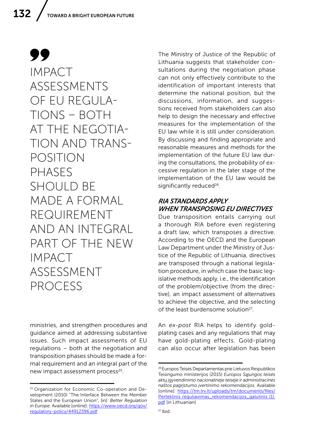99 IMPACT ASSESSMENTS OF EU REGULA-TIONS – BOTH AT THE NEGOTIA-TION AND TRANS-POSITION PHASES SHOULD BE MADE A FORMAL REQUIREMENT AND AN INTEGRAL PART OF THE NEW IMPACT ASSESSMENT PROCESS

ministries, and strengthen procedures and guidance aimed at addressing substantive issues. Such impact assessments of EU regulations – both at the negotiation and transposition phases should be made a formal requirement and an integral part of the new impact assessment process<sup>25</sup>.

The Ministry of Justice of the Republic of Lithuania suggests that stakeholder consultations during the negotiation phase can not only effectively contribute to the identification of important interests that determine the national position, but the discussions, information, and suggestions received from stakeholders can also help to design the necessary and effective measures for the implementation of the EU law while it is still under consideration. By discussing and finding appropriate and reasonable measures and methods for the implementation of the future EU law during the consultations, the probability of excessive regulation in the later stage of the implementation of the EU law would be significantly reduced<sup>26</sup>.

### *RIA STANDARDS APPLY WHEN TRANSPOSING EU DIRECTIVES*

Due transposition entails carrying out a thorough RIA before even registering a draft law, which transposes a directive. According to the OECD and the European Law Department under the Ministry of Justice of the Republic of Lithuania, directives are transposed through a national legislation procedure, in which case the basic legislative methods apply, i.e., the identification of the problem/objective (from the directive), an impact assessment of alternatives to achieve the objective, and the selecting of the least burdensome solution<sup>27</sup>.

An *ex-post* RIA helps to identify goldplating cases and any regulations that may have gold-plating effects. Gold-plating can also occur after legislation has been

<sup>25</sup> Organization for Economic Co-operation and Development (2010) "The Interface Between the Member States and the European Union", [in]: *Better Regulation in Europe.* Available [online]: [https://www.oecd.org/gov/](https://www.oecd.org/gov/regulatory-policy/44912396.pdf) [regulatory-policy/44912396.pdf](https://www.oecd.org/gov/regulatory-policy/44912396.pdf)

<sup>26</sup> Europos Teisės Departamentas prie Lietuvos Respublikos Teisingumo ministerijos (2015) *Europos Sąjungos teisės aktų įgyvendinimo nacionalinėje teisėje ir administracinės naštos pagrįstumo įvertinimo rekomendacijos.* Available [online]: [https://tm.lrv.lt/uploads/tm/documents/files/](https://tm.lrv.lt/uploads/tm/documents/files/Perteklinis reguliavimas_rekomendacijos_galutinis (1).pdf) [Perteklinis reguliavimas\\_rekomendacijos\\_galutinis \(1\).](https://tm.lrv.lt/uploads/tm/documents/files/Perteklinis reguliavimas_rekomendacijos_galutinis (1).pdf) [pdf](https://tm.lrv.lt/uploads/tm/documents/files/Perteklinis reguliavimas_rekomendacijos_galutinis (1).pdf) [in Lithuanian]

 $27$  Ibid.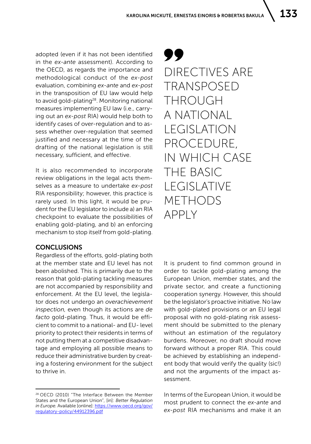adopted (even if it has not been identified in the *ex-ante* assessment). According to the OECD, as regards the importance and methodological conduct of the *ex-post*  evaluation, combining *ex-ante* and *ex-post* in the transposition of EU law would help to avoid gold-plating<sup>28</sup>. Monitoring national measures implementing EU law (i.e., carrying out an *ex-post* RIA) would help both to identify cases of over-regulation and to assess whether over-regulation that seemed justified and necessary at the time of the drafting of the national legislation is still necessary, sufficient, and effective.

It is also recommended to incorporate review obligations in the legal acts themselves as a measure to undertake *ex-post*  RIA responsibility; however, this practice is rarely used. In this light, it would be prudent for the EU legislator to include a) an RIA checkpoint to evaluate the possibilities of enabling gold-plating, and b) an enforcing mechanism to stop itself from gold-plating.

#### **CONCLUSIONS**

Regardless of the efforts, gold-plating both at the member state and EU level has not been abolished. This is primarily due to the reason that gold-plating tackling measures are not accompanied by responsibility and enforcement. At the EU level, the legislator does not undergo an *overachievement inspection*, even though its actions are *de facto* gold-plating. Thus, it would be efficient to commit to a national- and EU- level priority to protect their residents in terms of not putting them at a competitive disadvantage and employing all possible means to reduce their administrative burden by creating a fostering environment for the subject to thrive in.

99 DIRECTIVES ARE TRANSPOSED THROUGH A NATIONAL LEGISLATION PROCEDURE, IN WHICH CASE THE BASIC LEGISLATIVE METHODS APPLY

It is prudent to find common ground in order to tackle gold-plating among the European Union, member states, and the private sector, and create a functioning cooperation synergy. However, this should be the legislator's proactive initiative. No law with gold-plated provisions or an EU legal proposal with no gold-plating risk assessment should be submitted to the plenary without an estimation of the regulatory burdens. Moreover, no draft should move forward without a proper RIA. This could be achieved by establishing an independent body that would verify the quality (sic!) and not the arguments of the impact assessment.

In terms of the European Union, it would be most prudent to connect the *ex-ante* and *ex-post* RIA mechanisms and make it an

<sup>28</sup> OECD (2010) "The Interface Between the Member States and the European Union", [in]: *Better Regulation in Europe.* Available [online]: [https://www.oecd.org/gov/](https://www.oecd.org/gov/regulatory-policy/44912396.pdf) [regulatory-policy/44912396.pdf](https://www.oecd.org/gov/regulatory-policy/44912396.pdf)